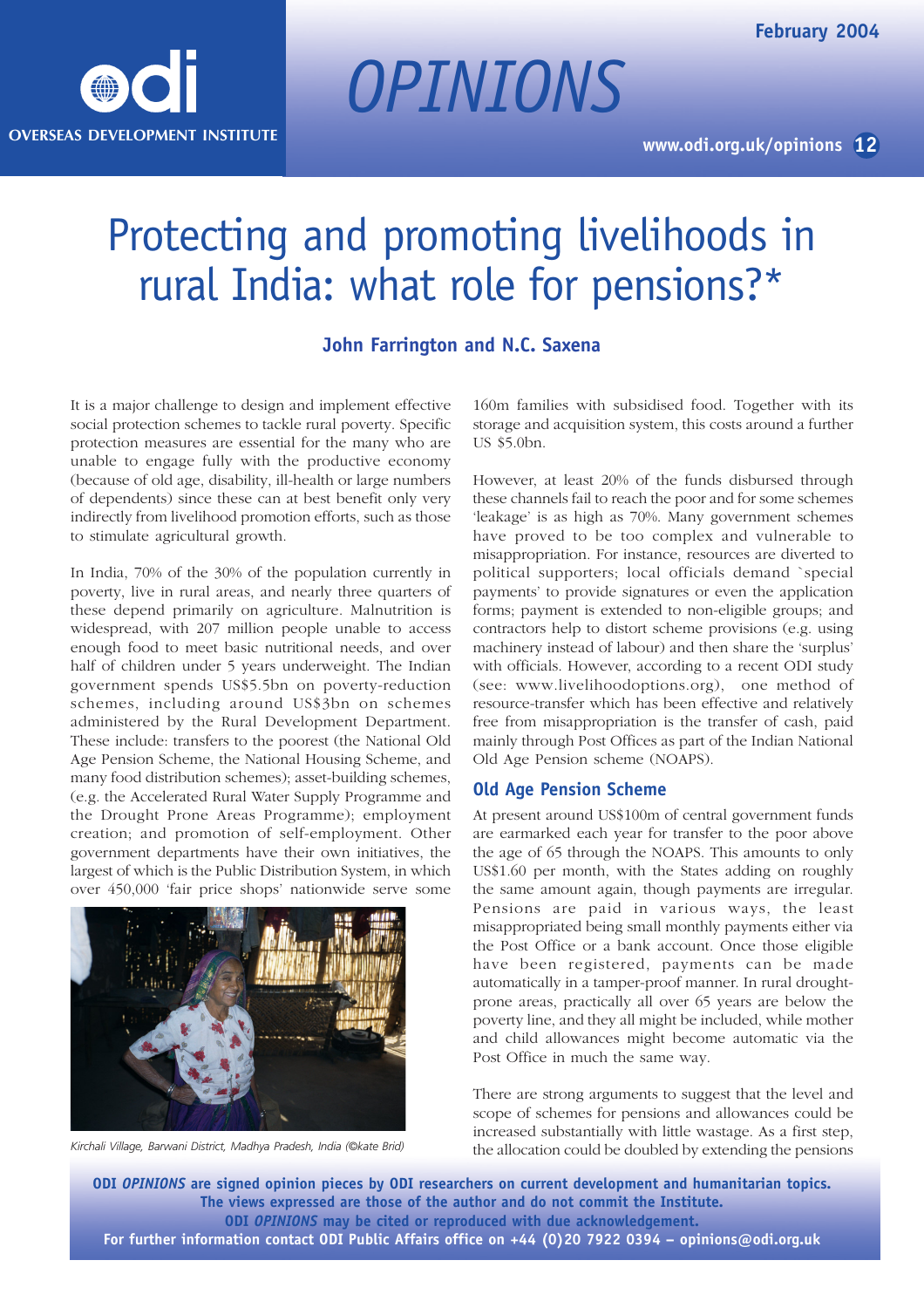

*OPINIONS*

# Protecting and promoting livelihoods in rural India: what role for pensions?\*

## **John Farrington and N.C. Saxena**

It is a major challenge to design and implement effective social protection schemes to tackle rural poverty. Specific protection measures are essential for the many who are unable to engage fully with the productive economy (because of old age, disability, ill-health or large numbers of dependents) since these can at best benefit only very indirectly from livelihood promotion efforts, such as those to stimulate agricultural growth.

In India, 70% of the 30% of the population currently in poverty, live in rural areas, and nearly three quarters of these depend primarily on agriculture. Malnutrition is widespread, with 207 million people unable to access enough food to meet basic nutritional needs, and over half of children under 5 years underweight. The Indian government spends US\$5.5bn on poverty-reduction schemes, including around US\$3bn on schemes administered by the Rural Development Department. These include: transfers to the poorest (the National Old Age Pension Scheme, the National Housing Scheme, and many food distribution schemes); asset-building schemes, (e.g. the Accelerated Rural Water Supply Programme and the Drought Prone Areas Programme); employment creation; and promotion of self-employment. Other government departments have their own initiatives, the largest of which is the Public Distribution System, in which over 450,000 'fair price shops' nationwide serve some



*Kirchali Village, Barwani District, Madhya Pradesh, India (©kate Brid)*

160m families with subsidised food. Together with its storage and acquisition system, this costs around a further US \$5.0bn.

However, at least 20% of the funds disbursed through these channels fail to reach the poor and for some schemes 'leakage' is as high as 70%. Many government schemes have proved to be too complex and vulnerable to misappropriation. For instance, resources are diverted to political supporters; local officials demand `special payments' to provide signatures or even the application forms; payment is extended to non-eligible groups; and contractors help to distort scheme provisions (e.g. using machinery instead of labour) and then share the 'surplus' with officials. However, according to a recent ODI study (see: www.livelihoodoptions.org), one method of resource-transfer which has been effective and relatively free from misappropriation is the transfer of cash, paid mainly through Post Offices as part of the Indian National Old Age Pension scheme (NOAPS).

#### **Old Age Pension Scheme**

At present around US\$100m of central government funds are earmarked each year for transfer to the poor above the age of 65 through the NOAPS. This amounts to only US\$1.60 per month, with the States adding on roughly the same amount again, though payments are irregular. Pensions are paid in various ways, the least misappropriated being small monthly payments either via the Post Office or a bank account. Once those eligible have been registered, payments can be made automatically in a tamper-proof manner. In rural droughtprone areas, practically all over 65 years are below the poverty line, and they all might be included, while mother and child allowances might become automatic via the Post Office in much the same way.

There are strong arguments to suggest that the level and scope of schemes for pensions and allowances could be increased substantially with little wastage. As a first step, the allocation could be doubled by extending the pensions

**ODI** *OPINIONS* **are signed opinion pieces by ODI researchers on current development and humanitarian topics. The views expressed are those of the author and do not commit the Institute. ODI** *OPINIONS* **may be cited or reproduced with due acknowledgement. For further information contact ODI Public Affairs office on +44 (0)20 7922 0394 – opinions@odi.org.uk**